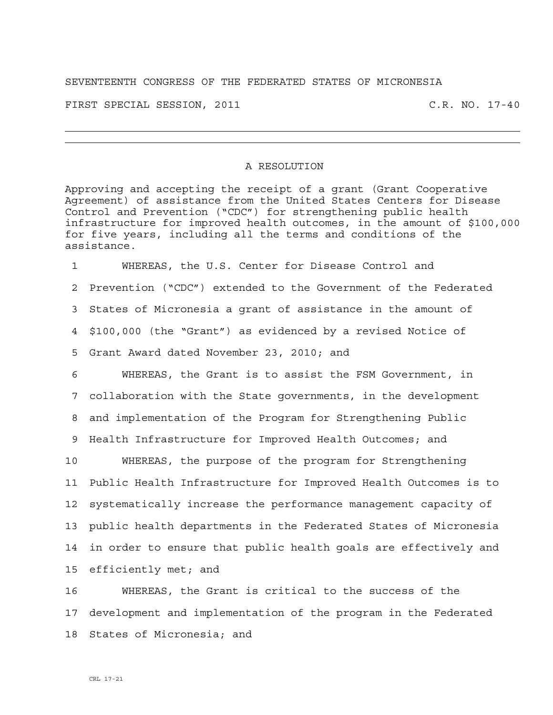## SEVENTEENTH CONGRESS OF THE FEDERATED STATES OF MICRONESIA

FIRST SPECIAL SESSION, 2011 C.R. NO. 17-40

## A RESOLUTION

Approving and accepting the receipt of a grant (Grant Cooperative Agreement) of assistance from the United States Centers for Disease Control and Prevention ("CDC") for strengthening public health infrastructure for improved health outcomes, in the amount of \$100,000 for five years, including all the terms and conditions of the assistance.

1 WHEREAS, the U.S. Center for Disease Control and 2 Prevention ("CDC") extended to the Government of the Federated 3 States of Micronesia a grant of assistance in the amount of 4 \$100,000 (the "Grant") as evidenced by a revised Notice of 5 Grant Award dated November 23, 2010; and

6 WHEREAS, the Grant is to assist the FSM Government, in 7 collaboration with the State governments, in the development 8 and implementation of the Program for Strengthening Public 9 Health Infrastructure for Improved Health Outcomes; and

10 WHEREAS, the purpose of the program for Strengthening 11 Public Health Infrastructure for Improved Health Outcomes is to 12 systematically increase the performance management capacity of 13 public health departments in the Federated States of Micronesia 14 in order to ensure that public health goals are effectively and 15 efficiently met; and

16 WHEREAS, the Grant is critical to the success of the 17 development and implementation of the program in the Federated 18 States of Micronesia; and